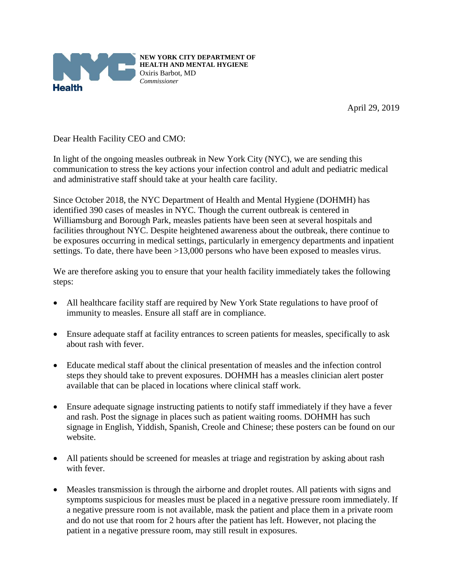

**NEW YORK CITY DEPARTMENT OF HEALTH AND MENTAL HYGIENE** Oxiris Barbot, MD *Commissioner*

April 29, 2019

Dear Health Facility CEO and CMO:

In light of the ongoing measles outbreak in New York City (NYC), we are sending this communication to stress the key actions your infection control and adult and pediatric medical and administrative staff should take at your health care facility.

Since October 2018, the NYC Department of Health and Mental Hygiene (DOHMH) has identified 390 cases of measles in NYC. Though the current outbreak is centered in Williamsburg and Borough Park, measles patients have been seen at several hospitals and facilities throughout NYC. Despite heightened awareness about the outbreak, there continue to be exposures occurring in medical settings, particularly in emergency departments and inpatient settings. To date, there have been >13,000 persons who have been exposed to measles virus.

We are therefore asking you to ensure that your health facility immediately takes the following steps:

- All healthcare facility staff are required by New York State regulations to have proof of immunity to measles. Ensure all staff are in compliance.
- Ensure adequate staff at facility entrances to screen patients for measles, specifically to ask about rash with fever.
- Educate medical staff about the clinical presentation of measles and the infection control steps they should take to prevent exposures. DOHMH has a measles clinician alert poster available that can be placed in locations where clinical staff work.
- Ensure adequate signage instructing patients to notify staff immediately if they have a fever and rash. Post the signage in places such as patient waiting rooms. DOHMH has such signage in English, Yiddish, Spanish, Creole and Chinese; these posters can be found on our website.
- All patients should be screened for measles at triage and registration by asking about rash with fever.
- Measles transmission is through the airborne and droplet routes. All patients with signs and symptoms suspicious for measles must be placed in a negative pressure room immediately. If a negative pressure room is not available, mask the patient and place them in a private room and do not use that room for 2 hours after the patient has left. However, not placing the patient in a negative pressure room, may still result in exposures.